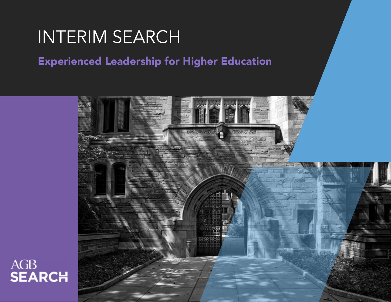# INTERIM SEARCH

Experienced Leadership for Higher Education



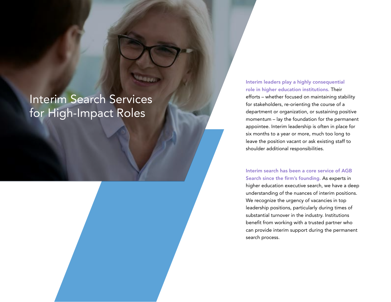# Interim Search Services for High-Impact Roles

Interim leaders play a highly consequential role in higher education institutions. Their efforts – whether focused on maintaining stability for stakeholders, re-orienting the course of a department or organization, or sustaining positive momentum – lay the foundation for the permanent appointee. Interim leadership is often in place for six months to a year or more, much too long to leave the position vacant or ask existing staff to shoulder additional responsibilities.

Interim search has been a core service of AGB Search since the firm's founding. As experts in higher education executive search, we have a deep understanding of the nuances of interim positions. We recognize the urgency of vacancies in top leadership positions, particularly during times of substantial turnover in the industry. Institutions benefit from working with a trusted partner who can provide interim support during the permanent search process.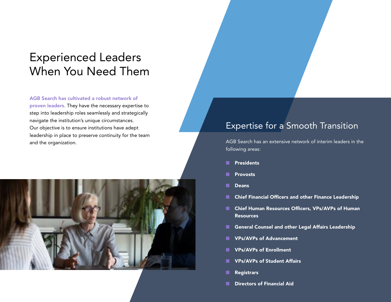## Experienced Leaders When You Need Them

#### AGB Search has cultivated a robust network of

proven leaders. They have the necessary expertise to step into leadership roles seamlessly and strategically navigate the institution's unique circumstances. Our objective is to ensure institutions have adept leadership in place to preserve continuity for the team and the organization.



#### Expertise for a Smooth Transition

AGB Search has an extensive network of interim leaders in the following areas:

- Presidents
- **Provosts**
- **Deans**
- Chief Financial Officers and other Finance Leadership
- Chief Human Resources Officers, VPs/AVPs of Human Resources
- General Counsel and other Legal Affairs Leadership
- VPs/AVPs of Advancement
- VPs/AVPs of Enrollment
- VPs/AVPs of Student Affairs
- **Registrars**
- **Directors of Financial Aid**